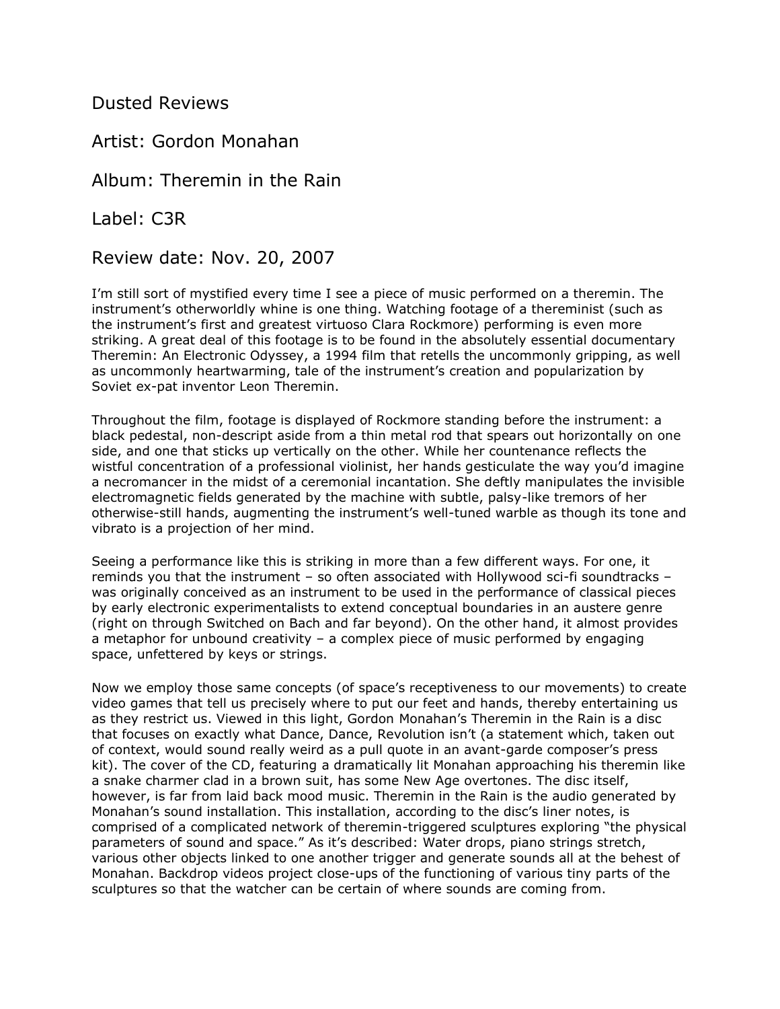Dusted Reviews

Artist: Gordon Monahan

Album: Theremin in the Rain

Label: C3R

Review date: Nov. 20, 2007

I'm still sort of mystified every time I see a piece of music performed on a theremin. The instrument's otherworldly whine is one thing. Watching footage of a thereminist (such as the instrument's first and greatest virtuoso Clara Rockmore) performing is even more striking. A great deal of this footage is to be found in the absolutely essential documentary Theremin: An Electronic Odyssey, a 1994 film that retells the uncommonly gripping, as well as uncommonly heartwarming, tale of the instrument's creation and popularization by Soviet ex-pat inventor Leon Theremin.

Throughout the film, footage is displayed of Rockmore standing before the instrument: a black pedestal, non-descript aside from a thin metal rod that spears out horizontally on one side, and one that sticks up vertically on the other. While her countenance reflects the wistful concentration of a professional violinist, her hands gesticulate the way you'd imagine a necromancer in the midst of a ceremonial incantation. She deftly manipulates the invisible electromagnetic fields generated by the machine with subtle, palsy-like tremors of her otherwise-still hands, augmenting the instrument's well-tuned warble as though its tone and vibrato is a projection of her mind.

Seeing a performance like this is striking in more than a few different ways. For one, it reminds you that the instrument – so often associated with Hollywood sci-fi soundtracks – was originally conceived as an instrument to be used in the performance of classical pieces by early electronic experimentalists to extend conceptual boundaries in an austere genre (right on through Switched on Bach and far beyond). On the other hand, it almost provides a metaphor for unbound creativity – a complex piece of music performed by engaging space, unfettered by keys or strings.

Now we employ those same concepts (of space's receptiveness to our movements) to create video games that tell us precisely where to put our feet and hands, thereby entertaining us as they restrict us. Viewed in this light, Gordon Monahan's Theremin in the Rain is a disc that focuses on exactly what Dance, Dance, Revolution isn't (a statement which, taken out of context, would sound really weird as a pull quote in an avant-garde composer's press kit). The cover of the CD, featuring a dramatically lit Monahan approaching his theremin like a snake charmer clad in a brown suit, has some New Age overtones. The disc itself, however, is far from laid back mood music. Theremin in the Rain is the audio generated by Monahan's sound installation. This installation, according to the disc's liner notes, is comprised of a complicated network of theremin-triggered sculptures exploring "the physical parameters of sound and space." As it's described: Water drops, piano strings stretch, various other objects linked to one another trigger and generate sounds all at the behest of Monahan. Backdrop videos project close-ups of the functioning of various tiny parts of the sculptures so that the watcher can be certain of where sounds are coming from.